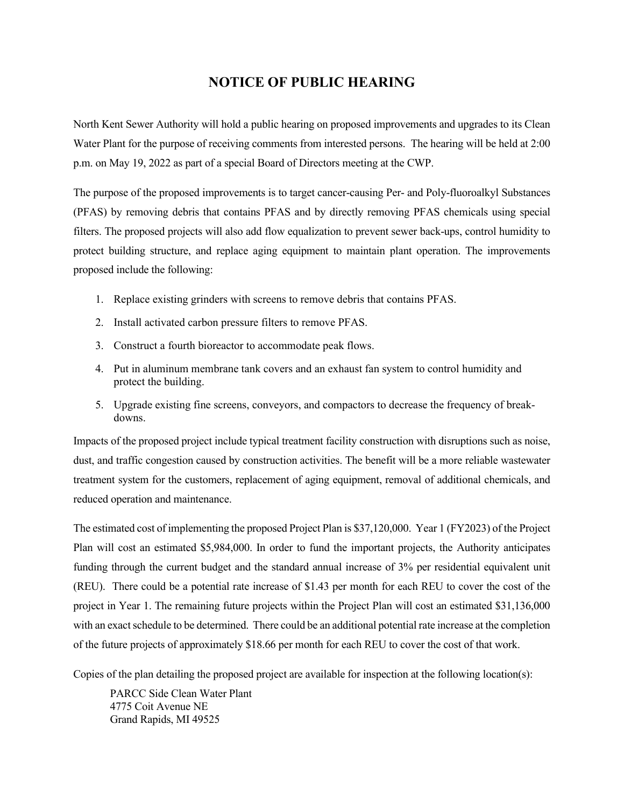## **NOTICE OF PUBLIC HEARING**

North Kent Sewer Authority will hold a public hearing on proposed improvements and upgrades to its Clean Water Plant for the purpose of receiving comments from interested persons. The hearing will be held at 2:00 p.m. on May 19, 2022 as part of a special Board of Directors meeting at the CWP.

The purpose of the proposed improvements is to target cancer-causing Per- and Poly-fluoroalkyl Substances (PFAS) by removing debris that contains PFAS and by directly removing PFAS chemicals using special filters. The proposed projects will also add flow equalization to prevent sewer back-ups, control humidity to protect building structure, and replace aging equipment to maintain plant operation. The improvements proposed include the following:

- 1. Replace existing grinders with screens to remove debris that contains PFAS.
- 2. Install activated carbon pressure filters to remove PFAS.
- 3. Construct a fourth bioreactor to accommodate peak flows.
- 4. Put in aluminum membrane tank covers and an exhaust fan system to control humidity and protect the building.
- 5. Upgrade existing fine screens, conveyors, and compactors to decrease the frequency of breakdowns.

Impacts of the proposed project include typical treatment facility construction with disruptions such as noise, dust, and traffic congestion caused by construction activities. The benefit will be a more reliable wastewater treatment system for the customers, replacement of aging equipment, removal of additional chemicals, and reduced operation and maintenance.

The estimated cost of implementing the proposed Project Plan is \$37,120,000. Year 1 (FY2023) of the Project Plan will cost an estimated \$5,984,000. In order to fund the important projects, the Authority anticipates funding through the current budget and the standard annual increase of 3% per residential equivalent unit (REU). There could be a potential rate increase of \$1.43 per month for each REU to cover the cost of the project in Year 1. The remaining future projects within the Project Plan will cost an estimated \$31,136,000 with an exact schedule to be determined. There could be an additional potential rate increase at the completion of the future projects of approximately \$18.66 per month for each REU to cover the cost of that work.

Copies of the plan detailing the proposed project are available for inspection at the following location(s):

 PARCC Side Clean Water Plant 4775 Coit Avenue NE Grand Rapids, MI 49525